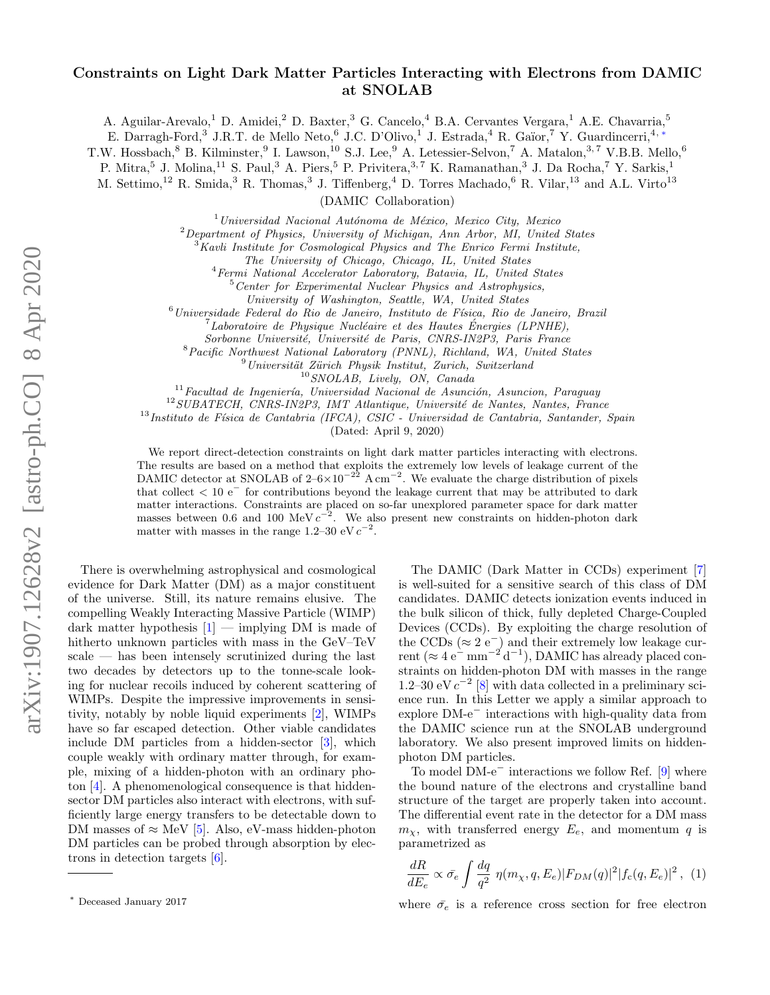## Constraints on Light Dark Matter Particles Interacting with Electrons from DAMIC at SNOLAB

A. Aguilar-Arevalo,<sup>1</sup> D. Amidei,<sup>2</sup> D. Baxter,<sup>3</sup> G. Cancelo,<sup>4</sup> B.A. Cervantes Vergara,<sup>1</sup> A.E. Chavarria,<sup>5</sup>

E. Darragh-Ford,<sup>3</sup> J.R.T. de Mello Neto,<sup>6</sup> J.C. D'Olivo,<sup>1</sup> J. Estrada,<sup>4</sup> R. Gaïor,<sup>7</sup> Y. Guardincerri,<sup>4,\*</sup>

T.W. Hossbach,  $8$  B. Kilminster,  $9$  I. Lawson,  $10$  S.J. Lee,  $9$  A. Letessier-Selvon,  $7$  A. Matalon,  $3, 7$  V.B.B. Mello,  $6$ 

P. Mitra,<sup>5</sup> J. Molina,<sup>11</sup> S. Paul,<sup>3</sup> A. Piers,<sup>5</sup> P. Privitera,<sup>3,7</sup> K. Ramanathan,<sup>3</sup> J. Da Rocha,<sup>7</sup> Y. Sarkis,<sup>1</sup>

M. Settimo,<sup>12</sup> R. Smida,<sup>3</sup> R. Thomas,<sup>3</sup> J. Tiffenberg,<sup>4</sup> D. Torres Machado,<sup>6</sup> R. Vilar,<sup>13</sup> and A.L. Virto<sup>13</sup>

(DAMIC Collaboration)

 $1$ Universidad Nacional Autónoma de México, Mexico City, Mexico

 $2$ Department of Physics, University of Michigan, Ann Arbor, MI, United States

 $3$ Kavli Institute for Cosmological Physics and The Enrico Fermi Institute,

The University of Chicago, Chicago, IL, United States

<sup>4</sup>Fermi National Accelerator Laboratory, Batavia, IL, United States

<sup>5</sup>Center for Experimental Nuclear Physics and Astrophysics,

University of Washington, Seattle, WA, United States

 $^6$ Universidade Federal do Rio de Janeiro, Instituto de Física, Rio de Janeiro, Brazil

 $^{7}$ Laboratoire de Physique Nucléaire et des Hautes Énergies (LPNHE),

Sorbonne Université, Université de Paris, CNRS-IN2P3, Paris France

<sup>8</sup>Pacific Northwest National Laboratory (PNNL), Richland, WA, United States

 $^{9}$ Universität Zürich Physik Institut, Zurich, Switzerland

<sup>10</sup>SNOLAB, Lively, ON, Canada

 $11$ Facultad de Ingeniería, Universidad Nacional de Asunción, Asuncion, Paraguay

 $12$ SUBATECH, CNRS-IN2P3, IMT Atlantique, Université de Nantes, Nantes, France

 $^{13}$ Instituto de Física de Cantabria (IFCA), CSIC - Universidad de Cantabria, Santander, Spain

(Dated: April 9, 2020)

We report direct-detection constraints on light dark matter particles interacting with electrons. The results are based on a method that exploits the extremely low levels of leakage current of the DAMIC detector at SNOLAB of  $2-6\times10^{-22}$  A cm<sup>-2</sup>. We evaluate the charge distribution of pixels that collect  $< 10 e^-$  for contributions beyond the leakage current that may be attributed to dark matter interactions. Constraints are placed on so-far unexplored parameter space for dark matter masses between 0.6 and 100 MeV  $c^{-2}$ . We also present new constraints on hidden-photon dark matter with masses in the range 1.2–30 eV  $c^{-2}$ .

There is overwhelming astrophysical and cosmological evidence for Dark Matter (DM) as a major constituent of the universe. Still, its nature remains elusive. The compelling Weakly Interacting Massive Particle (WIMP) dark matter hypothesis  $[1]$  — implying DM is made of hitherto unknown particles with mass in the GeV–TeV scale — has been intensely scrutinized during the last two decades by detectors up to the tonne-scale looking for nuclear recoils induced by coherent scattering of WIMPs. Despite the impressive improvements in sensitivity, notably by noble liquid experiments [\[2\]](#page-4-1), WIMPs have so far escaped detection. Other viable candidates include DM particles from a hidden-sector [\[3\]](#page-5-0), which couple weakly with ordinary matter through, for example, mixing of a hidden-photon with an ordinary photon [\[4\]](#page-5-1). A phenomenological consequence is that hiddensector DM particles also interact with electrons, with sufficiently large energy transfers to be detectable down to DM masses of  $\approx$  MeV [\[5\]](#page-5-2). Also, eV-mass hidden-photon DM particles can be probed through absorption by electrons in detection targets [\[6\]](#page-5-3).

The DAMIC (Dark Matter in CCDs) experiment [\[7\]](#page-5-4) is well-suited for a sensitive search of this class of DM candidates. DAMIC detects ionization events induced in the bulk silicon of thick, fully depleted Charge-Coupled Devices (CCDs). By exploiting the charge resolution of the CCDs  $(\approx 2 \text{ e}^{-})$  and their extremely low leakage current ( $\approx 4 \text{ e}^{\frac{-}{}} \text{ mm}^{-2} \text{ d}^{-1}$ ), DAMIC has already placed constraints on hidden-photon DM with masses in the range 1.2–30 eV  $c^{-2}$  [\[8\]](#page-5-5) with data collected in a preliminary science run. In this Letter we apply a similar approach to explore DM-e<sup>−</sup> interactions with high-quality data from the DAMIC science run at the SNOLAB underground laboratory. We also present improved limits on hiddenphoton DM particles.

To model DM-e<sup>−</sup> interactions we follow Ref. [\[9\]](#page-5-6) where the bound nature of the electrons and crystalline band structure of the target are properly taken into account. The differential event rate in the detector for a DM mass  $m<sub>x</sub>$ , with transferred energy  $E<sub>e</sub>$ , and momentum q is parametrized as

<span id="page-0-1"></span>
$$
\frac{dR}{dE_e} \propto \bar{\sigma_e} \int \frac{dq}{q^2} \eta(m_\chi, q, E_e) |F_{DM}(q)|^2 |f_c(q, E_e)|^2 , \tag{1}
$$

where  $\bar{\sigma}_e$  is a reference cross section for free electron

<span id="page-0-0"></span><sup>∗</sup> Deceased January 2017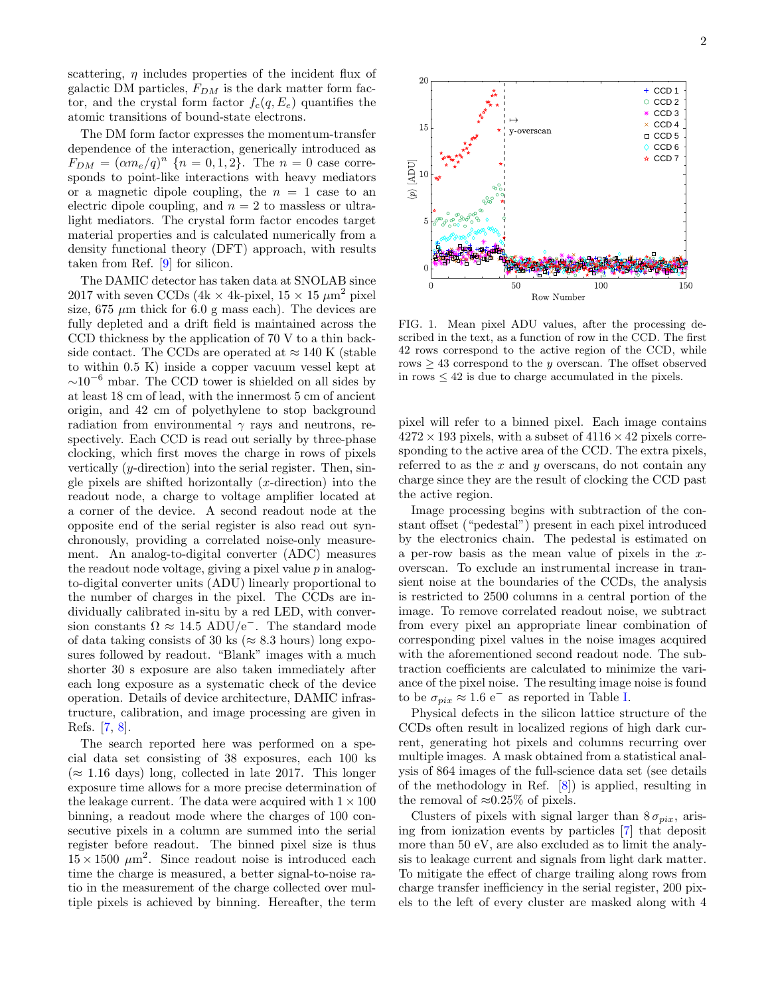scattering,  $\eta$  includes properties of the incident flux of galactic DM particles,  $F_{DM}$  is the dark matter form factor, and the crystal form factor  $f_c(q, E_e)$  quantifies the atomic transitions of bound-state electrons.

The DM form factor expresses the momentum-transfer dependence of the interaction, generically introduced as  $F_{DM} = (\alpha m_e/q)^n$  {n = 0, 1, 2}. The n = 0 case corresponds to point-like interactions with heavy mediators or a magnetic dipole coupling, the  $n = 1$  case to an electric dipole coupling, and  $n = 2$  to massless or ultralight mediators. The crystal form factor encodes target material properties and is calculated numerically from a density functional theory (DFT) approach, with results taken from Ref. [\[9\]](#page-5-6) for silicon.

The DAMIC detector has taken data at SNOLAB since 2017 with seven CCDs (4k  $\times$  4k-pixel, 15  $\times$  15  $\mu$ m<sup>2</sup> pixel size, 675  $\mu$ m thick for 6.0 g mass each). The devices are fully depleted and a drift field is maintained across the CCD thickness by the application of 70 V to a thin backside contact. The CCDs are operated at  $\approx 140$  K (stable to within 0.5 K) inside a copper vacuum vessel kept at  $\sim$ 10<sup>-6</sup> mbar. The CCD tower is shielded on all sides by at least 18 cm of lead, with the innermost 5 cm of ancient origin, and 42 cm of polyethylene to stop background radiation from environmental  $\gamma$  rays and neutrons, respectively. Each CCD is read out serially by three-phase clocking, which first moves the charge in rows of pixels vertically  $(y\text{-direction})$  into the serial register. Then, single pixels are shifted horizontally  $(x\text{-direction})$  into the readout node, a charge to voltage amplifier located at a corner of the device. A second readout node at the opposite end of the serial register is also read out synchronously, providing a correlated noise-only measurement. An analog-to-digital converter (ADC) measures the readout node voltage, giving a pixel value  $p$  in analogto-digital converter units (ADU) linearly proportional to the number of charges in the pixel. The CCDs are individually calibrated in-situ by a red LED, with conversion constants  $\Omega \approx 14.5$  ADU/e<sup>-</sup>. The standard mode of data taking consists of 30 ks ( $\approx 8.3$  hours) long exposures followed by readout. "Blank" images with a much shorter 30 s exposure are also taken immediately after each long exposure as a systematic check of the device operation. Details of device architecture, DAMIC infrastructure, calibration, and image processing are given in Refs. [\[7,](#page-5-4) [8\]](#page-5-5).

The search reported here was performed on a special data set consisting of 38 exposures, each 100 ks  $(\approx 1.16 \text{ days})$  long, collected in late 2017. This longer exposure time allows for a more precise determination of the leakage current. The data were acquired with  $1 \times 100$ binning, a readout mode where the charges of 100 consecutive pixels in a column are summed into the serial register before readout. The binned pixel size is thus  $15 \times 1500 \ \mu \text{m}^2$ . Since readout noise is introduced each time the charge is measured, a better signal-to-noise ratio in the measurement of the charge collected over multiple pixels is achieved by binning. Hereafter, the term



100

 $20$ 

15

 $[ADU]$ 

<span id="page-1-0"></span>FIG. 1. Mean pixel ADU values, after the processing described in the text, as a function of row in the CCD. The first 42 rows correspond to the active region of the CCD, while rows  $\geq$  43 correspond to the *y* overscan. The offset observed in rows  $\leq 42$  is due to charge accumulated in the pixels.

Row Number

pixel will refer to a binned pixel. Each image contains  $4272 \times 193$  pixels, with a subset of  $4116 \times 42$  pixels corresponding to the active area of the CCD. The extra pixels, referred to as the  $x$  and  $y$  overscans, do not contain any charge since they are the result of clocking the CCD past the active region.

Image processing begins with subtraction of the constant offset ("pedestal") present in each pixel introduced by the electronics chain. The pedestal is estimated on a per-row basis as the mean value of pixels in the xoverscan. To exclude an instrumental increase in transient noise at the boundaries of the CCDs, the analysis is restricted to 2500 columns in a central portion of the image. To remove correlated readout noise, we subtract from every pixel an appropriate linear combination of corresponding pixel values in the noise images acquired with the aforementioned second readout node. The subtraction coefficients are calculated to minimize the variance of the pixel noise. The resulting image noise is found to be  $\sigma_{pix} \approx 1.6 \text{ e}^{-}$  as reported in Table [I.](#page-2-0)

Physical defects in the silicon lattice structure of the CCDs often result in localized regions of high dark current, generating hot pixels and columns recurring over multiple images. A mask obtained from a statistical analysis of 864 images of the full-science data set (see details of the methodology in Ref. [\[8\]](#page-5-5)) is applied, resulting in the removal of  $\approx 0.25\%$  of pixels.

Clusters of pixels with signal larger than  $8 \sigma_{mix}$ , arising from ionization events by particles [\[7\]](#page-5-4) that deposit more than 50 eV, are also excluded as to limit the analysis to leakage current and signals from light dark matter. To mitigate the effect of charge trailing along rows from charge transfer inefficiency in the serial register, 200 pixels to the left of every cluster are masked along with 4

150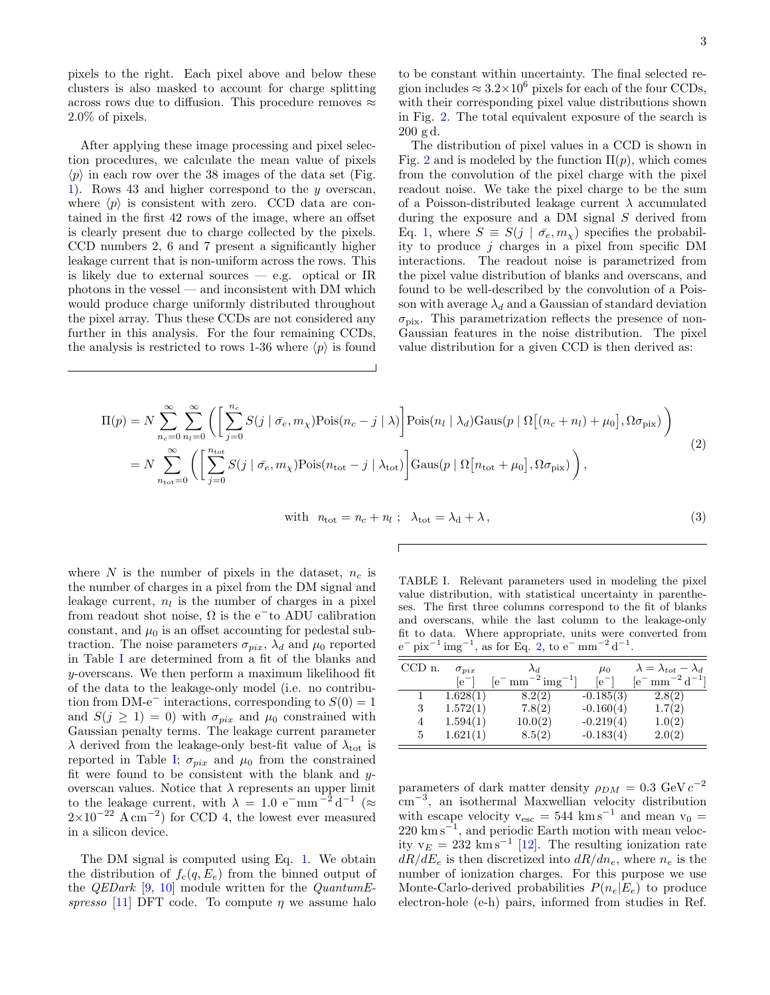pixels to the right. Each pixel above and below these clusters is also masked to account for charge splitting across rows due to diffusion. This procedure removes  $\approx$ 2.0% of pixels.

After applying these image processing and pixel selection procedures, we calculate the mean value of pixels  $\langle p \rangle$  in each row over the 38 images of the data set (Fig. [1\)](#page-1-0). Rows 43 and higher correspond to the y overscan, where  $\langle p \rangle$  is consistent with zero. CCD data are contained in the first 42 rows of the image, where an offset is clearly present due to charge collected by the pixels. CCD numbers 2, 6 and 7 present a significantly higher leakage current that is non-uniform across the rows. This is likely due to external sources  $-$  e.g. optical or IR photons in the vessel — and inconsistent with DM which would produce charge uniformly distributed throughout the pixel array. Thus these CCDs are not considered any further in this analysis. For the four remaining CCDs, the analysis is restricted to rows 1-36 where  $\langle p \rangle$  is found

to be constant within uncertainty. The final selected region includes  $\approx 3.2 \times 10^6$  pixels for each of the four CCDs, with their corresponding pixel value distributions shown in Fig. [2.](#page-3-0) The total equivalent exposure of the search is 200 g d.

The distribution of pixel values in a CCD is shown in Fig. [2](#page-3-0) and is modeled by the function  $\Pi(p)$ , which comes from the convolution of the pixel charge with the pixel readout noise. We take the pixel charge to be the sum of a Poisson-distributed leakage current  $\lambda$  accumulated during the exposure and a DM signal  $S$  derived from Eq. [1,](#page-0-1) where  $S \equiv S(j | \bar{\sigma}_e, m_\chi)$  specifies the probability to produce  $j$  charges in a pixel from specific DM interactions. The readout noise is parametrized from the pixel value distribution of blanks and overscans, and found to be well-described by the convolution of a Poisson with average  $\lambda_d$  and a Gaussian of standard deviation  $\sigma_{\text{pix}}$ . This parametrization reflects the presence of non-Gaussian features in the noise distribution. The pixel value distribution for a given CCD is then derived as:

$$
\Pi(p) = N \sum_{n_c=0}^{\infty} \sum_{n_l=0}^{\infty} \left( \left[ \sum_{j=0}^{n_c} S(j \mid \bar{\sigma}_e, m_\chi) \text{Pois}(n_c - j \mid \lambda) \right] \text{Pois}(n_l \mid \lambda_d) \text{Gaus}(p \mid \Omega[(n_c + n_l) + \mu_0], \Omega \sigma_{\text{pix}}) \right)
$$
  
=  $N \sum_{n_{\text{tot}}=0}^{\infty} \left( \left[ \sum_{j=0}^{n_{\text{tot}}} S(j \mid \bar{\sigma}_e, m_\chi) \text{Pois}(n_{\text{tot}} - j \mid \lambda_{\text{tot}}) \right] \text{Gaus}(p \mid \Omega[n_{\text{tot}} + \mu_0], \Omega \sigma_{\text{pix}}) \right),$  (2)

with 
$$
n_{\text{tot}} = n_c + n_l
$$
;  $\lambda_{\text{tot}} = \lambda_d + \lambda$ , (3)

where N is the number of pixels in the dataset,  $n_c$  is the number of charges in a pixel from the DM signal and leakage current,  $n_l$  is the number of charges in a pixel from readout shot noise,  $\Omega$  is the e<sup>-</sup>to ADU calibration constant, and  $\mu_0$  is an offset accounting for pedestal subtraction. The noise parameters  $\sigma_{pix}$ ,  $\lambda_d$  and  $\mu_0$  reported in Table [I](#page-2-0) are determined from a fit of the blanks and y-overscans. We then perform a maximum likelihood fit of the data to the leakage-only model (i.e. no contribution from DM-e<sup>-</sup> interactions, corresponding to  $S(0) = 1$ and  $S(j \geq 1) = 0$ ) with  $\sigma_{pix}$  and  $\mu_0$  constrained with Gaussian penalty terms. The leakage current parameter  $\lambda$  derived from the leakage-only best-fit value of  $\lambda_{\text{tot}}$  is reported in Table [I;](#page-2-0)  $\sigma_{pix}$  and  $\mu_0$  from the constrained fit were found to be consistent with the blank and yoverscan values. Notice that  $\lambda$  represents an upper limit to the leakage current, with  $\lambda = 1.0 \text{ e}^{-\text{mm}^{-2} d^{-1}}$  ( $\approx$  $2\times10^{-22}$  A cm<sup>-2</sup>) for CCD 4, the lowest ever measured in a silicon device.

The DM signal is computed using Eq. [1.](#page-0-1) We obtain the distribution of  $f_c(q, E_e)$  from the binned output of the *QEDark* [\[9,](#page-5-6) [10\]](#page-5-7) module written for the *QuantumE*-spresso [\[11\]](#page-5-8) DFT code. To compute  $\eta$  we assume halo

<span id="page-2-1"></span><span id="page-2-0"></span>TABLE I. Relevant parameters used in modeling the pixel value distribution, with statistical uncertainty in parentheses. The first three columns correspond to the fit of blanks and overscans, while the last column to the leakage-only fit to data. Where appropriate, units were converted from  $e^-$  pix<sup>-1</sup> img<sup>-1</sup>, as for Eq. [2,](#page-2-1) to  $e^-$  mm<sup>-2</sup> d<sup>-1</sup>.

| $CCD$ n. | $\sigma_{pix}$ | $\lambda_d$                            | $\mu_0$     | $\lambda = \lambda_{tot} - \lambda_d$ |
|----------|----------------|----------------------------------------|-------------|---------------------------------------|
|          | $[e^{-}]$      | $[e^{-}\text{mm}^{-2}\text{img}^{-1}]$ | $[e^{-}]$   | $[e^{-} \text{ mm}^{-2} d^{-1}]$      |
|          | 1.628(1)       | 8.2(2)                                 | $-0.185(3)$ | 2.8(2)                                |
| 3        | 1.572(1)       | 7.8(2)                                 | $-0.160(4)$ | 1.7(2)                                |
| 4        | 1.594(1)       | 10.0(2)                                | $-0.219(4)$ | 1.0(2)                                |
| 5        | 1.621(1)       | 8.5(2)                                 | $-0.183(4)$ | 2.0(2)                                |

parameters of dark matter density  $\rho_{DM} = 0.3 \text{ GeV} c^{-2}$ cm<sup>−</sup><sup>3</sup> , an isothermal Maxwellian velocity distribution with escape velocity  $v_{\text{esc}} = 544 \text{ km s}^{-1}$  and mean  $v_0 =$ 220 km s<sup>-1</sup>, and periodic Earth motion with mean velocity  $v_E = 232 \text{ km s}^{-1}$  [\[12\]](#page-5-9). The resulting ionization rate  $dR/dE_e$  is then discretized into  $dR/dn_e$ , where  $n_e$  is the number of ionization charges. For this purpose we use Monte-Carlo-derived probabilities  $P(n_e|E_e)$  to produce electron-hole (e-h) pairs, informed from studies in Ref.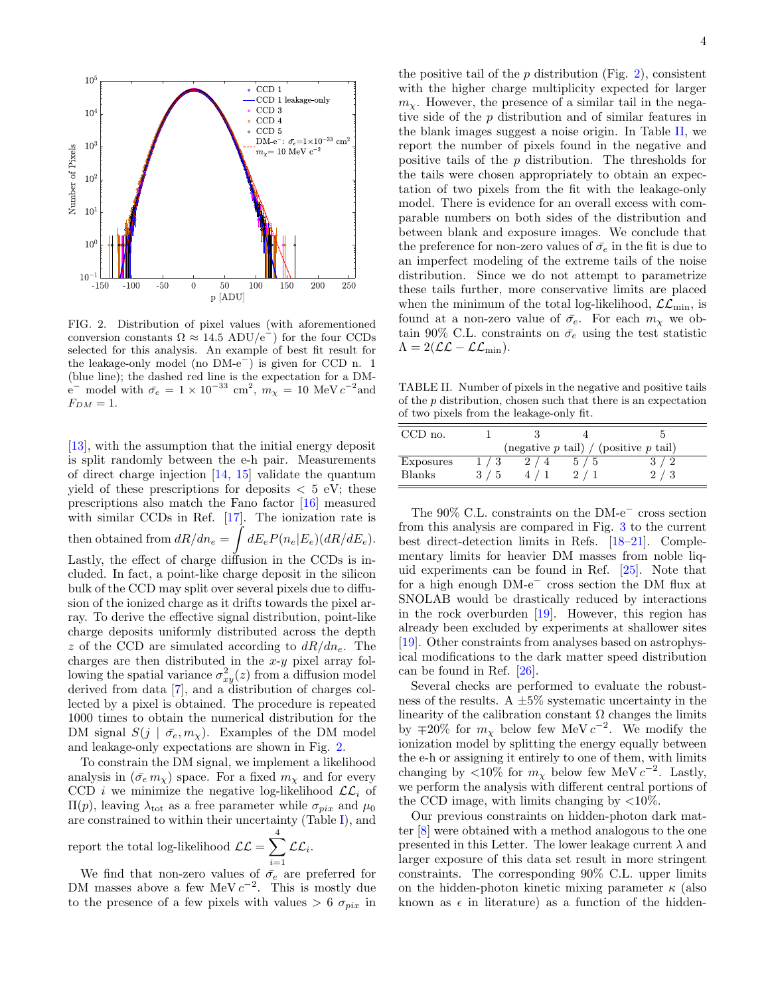

<span id="page-3-0"></span>FIG. 2. Distribution of pixel values (with aforementioned conversion constants  $\Omega \approx 14.5$  ADU/e<sup>-</sup>) for the four CCDs selected for this analysis. An example of best fit result for the leakage-only model (no DM-e<sup>−</sup>) is given for CCD n. 1 (blue line); the dashed red line is the expectation for a DMe<sup>-</sup> model with  $\bar{\sigma}_e = 1 \times 10^{-33}$  cm<sup>2</sup>,  $m_\chi = 10$  MeV  $c^{-2}$  and  $F_{DM} = 1.$ 

[\[13\]](#page-5-10), with the assumption that the initial energy deposit is split randomly between the e-h pair. Measurements of direct charge injection [\[14,](#page-5-11) [15\]](#page-5-12) validate the quantum yield of these prescriptions for deposits  $\langle 5 \rangle$  eV; these prescriptions also match the Fano factor [\[16\]](#page-5-13) measured with similar CCDs in Ref. [\[17\]](#page-5-14). The ionization rate is then obtained from  $dR/dn_e = \int dE_e P(n_e|E_e) (dR/dE_e)$ . Lastly, the effect of charge diffusion in the CCDs is included. In fact, a point-like charge deposit in the silicon bulk of the CCD may split over several pixels due to diffusion of the ionized charge as it drifts towards the pixel array. To derive the effective signal distribution, point-like charge deposits uniformly distributed across the depth z of the CCD are simulated according to  $dR/dn_e$ . The charges are then distributed in the  $x-y$  pixel array following the spatial variance  $\sigma_{xy}^2(z)$  from a diffusion model derived from data [\[7\]](#page-5-4), and a distribution of charges collected by a pixel is obtained. The procedure is repeated 1000 times to obtain the numerical distribution for the DM signal  $S(j | \bar{\sigma}_e, m_\chi)$ . Examples of the DM model and leakage-only expectations are shown in Fig. [2.](#page-3-0)

To constrain the DM signal, we implement a likelihood analysis in  $(\bar{\sigma}_e m_\chi)$  space. For a fixed  $m_\chi$  and for every CCD i we minimize the negative log-likelihood  $\mathcal{LL}_i$  of  $\Pi(p)$ , leaving  $\lambda_{\text{tot}}$  as a free parameter while  $\sigma_{pix}$  and  $\mu_0$ are constrained to within their uncertainty (Table [I\)](#page-2-0), and

report the total log-likelihood  $\mathcal{LL} = \sum_{n=1}^{4}$  $i=1$  $\mathcal{LL}_{i}.$ 

We find that non-zero values of  $\bar{\sigma}_e$  are preferred for DM masses above a few MeV  $c^{-2}$ . This is mostly due to the presence of a few pixels with values  $> 6 \sigma_{pix}$  in

the positive tail of the  $p$  distribution (Fig. [2\)](#page-3-0), consistent with the higher charge multiplicity expected for larger  $m<sub>x</sub>$ . However, the presence of a similar tail in the negative side of the p distribution and of similar features in the blank images suggest a noise origin. In Table [II,](#page-3-1) we report the number of pixels found in the negative and positive tails of the p distribution. The thresholds for the tails were chosen appropriately to obtain an expectation of two pixels from the fit with the leakage-only model. There is evidence for an overall excess with comparable numbers on both sides of the distribution and between blank and exposure images. We conclude that the preference for non-zero values of  $\bar{\sigma}_e$  in the fit is due to an imperfect modeling of the extreme tails of the noise distribution. Since we do not attempt to parametrize these tails further, more conservative limits are placed when the minimum of the total log-likelihood,  $\mathcal{LL}_{\text{min}}$ , is found at a non-zero value of  $\bar{\sigma}_e$ . For each  $m_\chi$  we obtain 90% C.L. constraints on  $\bar{\sigma}_e$  using the test statistic  $\Lambda = 2(\mathcal{LL} - \mathcal{LL}_{\min}).$ 

<span id="page-3-1"></span>TABLE II. Number of pixels in the negative and positive tails of the p distribution, chosen such that there is an expectation of two pixels from the leakage-only fit.

| $CCD$ no.     |                                           |  |   |  |  |
|---------------|-------------------------------------------|--|---|--|--|
|               | (negative $p$ tail) / (positive $p$ tail) |  |   |  |  |
| Exposures     | 1/3                                       |  | 5 |  |  |
| <b>Blanks</b> | 3/5                                       |  |   |  |  |

The 90% C.L. constraints on the DM-e<sup>−</sup> cross section from this analysis are compared in Fig. [3](#page-4-2) to the current best direct-detection limits in Refs. [\[18–](#page-5-15)[21\]](#page-5-16). Complementary limits for heavier DM masses from noble liquid experiments can be found in Ref. [\[25\]](#page-5-17). Note that for a high enough DM-e<sup>−</sup> cross section the DM flux at SNOLAB would be drastically reduced by interactions in the rock overburden [\[19\]](#page-5-18). However, this region has already been excluded by experiments at shallower sites [\[19\]](#page-5-18). Other constraints from analyses based on astrophysical modifications to the dark matter speed distribution can be found in Ref. [\[26\]](#page-5-19).

Several checks are performed to evaluate the robustness of the results. A  $\pm 5\%$  systematic uncertainty in the linearity of the calibration constant  $\Omega$  changes the limits by  $\mp 20\%$  for  $m_{\chi}$  below few MeV  $c^{-2}$ . We modify the ionization model by splitting the energy equally between the e-h or assigning it entirely to one of them, with limits changing by <10% for  $m_{\chi}$  below few MeV  $c^{-2}$ . Lastly, we perform the analysis with different central portions of the CCD image, with limits changing by  $\langle 10 \rangle$ .

Our previous constraints on hidden-photon dark matter [\[8\]](#page-5-5) were obtained with a method analogous to the one presented in this Letter. The lower leakage current  $\lambda$  and larger exposure of this data set result in more stringent constraints. The corresponding 90% C.L. upper limits on the hidden-photon kinetic mixing parameter  $\kappa$  (also known as  $\epsilon$  in literature) as a function of the hidden-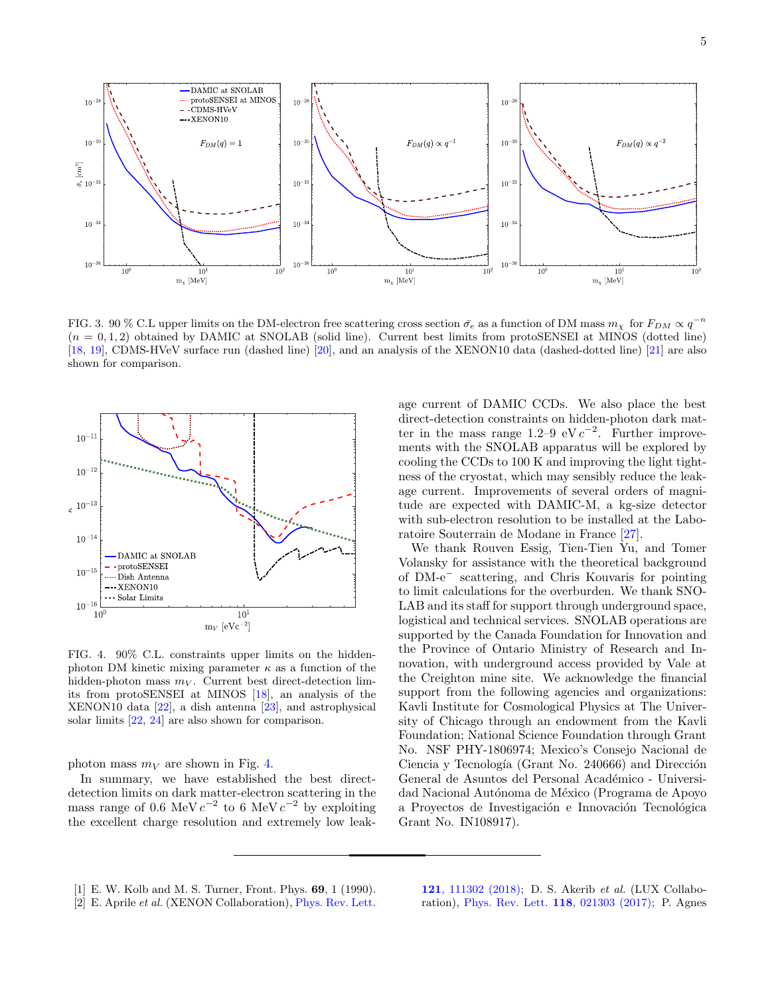

<span id="page-4-2"></span>FIG. 3. 90 % C.L upper limits on the DM-electron free scattering cross section  $\bar{\sigma}_e$  as a function of DM mass  $m_\chi$  for  $F_{DM} \propto q^{-n}$  $(n = 0, 1, 2)$  obtained by DAMIC at SNOLAB (solid line). Current best limits from protoSENSEI at MINOS (dotted line) [\[18,](#page-5-15) [19\]](#page-5-18), CDMS-HVeV surface run (dashed line) [\[20\]](#page-5-20), and an analysis of the XENON10 data (dashed-dotted line) [\[21\]](#page-5-16) are also shown for comparison.



<span id="page-4-3"></span>FIG. 4. 90% C.L. constraints upper limits on the hiddenphoton DM kinetic mixing parameter  $\kappa$  as a function of the hidden-photon mass  $m_V$ . Current best direct-detection limits from protoSENSEI at MINOS [\[18\]](#page-5-15), an analysis of the XENON10 data [\[22\]](#page-5-21), a dish antenna [\[23\]](#page-5-22), and astrophysical solar limits [\[22,](#page-5-21) [24\]](#page-5-23) are also shown for comparison.

photon mass  $m_V$  are shown in Fig. [4.](#page-4-3)

In summary, we have established the best directdetection limits on dark matter-electron scattering in the mass range of 0.6 MeV  $c^{-2}$  to 6 MeV  $c^{-2}$  by exploiting the excellent charge resolution and extremely low leakage current of DAMIC CCDs. We also place the best direct-detection constraints on hidden-photon dark matter in the mass range  $1.2-9$  eV  $c^{-2}$ . Further improvements with the SNOLAB apparatus will be explored by cooling the CCDs to 100 K and improving the light tightness of the cryostat, which may sensibly reduce the leakage current. Improvements of several orders of magnitude are expected with DAMIC-M, a kg-size detector with sub-electron resolution to be installed at the Laboratoire Souterrain de Modane in France [\[27\]](#page-5-24).

We thank Rouven Essig, Tien-Tien Yu, and Tomer Volansky for assistance with the theoretical background of DM-e<sup>−</sup> scattering, and Chris Kouvaris for pointing to limit calculations for the overburden. We thank SNO-LAB and its staff for support through underground space, logistical and technical services. SNOLAB operations are supported by the Canada Foundation for Innovation and the Province of Ontario Ministry of Research and Innovation, with underground access provided by Vale at the Creighton mine site. We acknowledge the financial support from the following agencies and organizations: Kavli Institute for Cosmological Physics at The University of Chicago through an endowment from the Kavli Foundation; National Science Foundation through Grant No. NSF PHY-1806974; Mexico's Consejo Nacional de Ciencia y Tecnología (Grant No. 240666) and Dirección General de Asuntos del Personal Académico - Universidad Nacional Autónoma de México (Programa de Apoyo a Proyectos de Investigación e Innovación Tecnológica Grant No. IN108917).

- <span id="page-4-0"></span>[1] E. W. Kolb and M. S. Turner, Front. Phys. 69, 1 (1990).
- <span id="page-4-1"></span>[2] E. Aprile *et al.* (XENON Collaboration), [Phys. Rev. Lett.](http://dx.doi.org/10.1103/PhysRevLett.121.111302)

121[, 111302 \(2018\);](http://dx.doi.org/10.1103/PhysRevLett.121.111302) D. S. Akerib et al. (LUX Collaboration), [Phys. Rev. Lett.](http://dx.doi.org/10.1103/PhysRevLett.118.021303) 118, 021303 (2017); P. Agnes